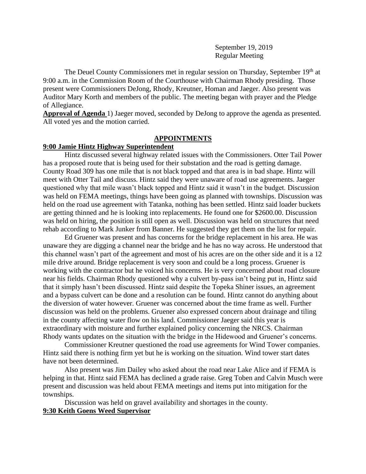September 19, 2019 Regular Meeting

The Deuel County Commissioners met in regular session on Thursday, September 19<sup>th</sup> at 9:00 a.m. in the Commission Room of the Courthouse with Chairman Rhody presiding. Those present were Commissioners DeJong, Rhody, Kreutner, Homan and Jaeger. Also present was Auditor Mary Korth and members of the public. The meeting began with prayer and the Pledge of Allegiance.

**Approval of Agenda** 1) Jaeger moved, seconded by DeJong to approve the agenda as presented. All voted yes and the motion carried.

### **APPOINTMENTS**

## **9:00 Jamie Hintz Highway Superintendent**

Hintz discussed several highway related issues with the Commissioners. Otter Tail Power has a proposed route that is being used for their substation and the road is getting damage. County Road 309 has one mile that is not black topped and that area is in bad shape. Hintz will meet with Otter Tail and discuss. Hintz said they were unaware of road use agreements. Jaeger questioned why that mile wasn't black topped and Hintz said it wasn't in the budget. Discussion was held on FEMA meetings, things have been going as planned with townships. Discussion was held on the road use agreement with Tatanka, nothing has been settled. Hintz said loader buckets are getting thinned and he is looking into replacements. He found one for \$2600.00. Discussion was held on hiring, the position is still open as well. Discussion was held on structures that need rehab according to Mark Junker from Banner. He suggested they get them on the list for repair.

Ed Gruener was present and has concerns for the bridge replacement in his area. He was unaware they are digging a channel near the bridge and he has no way across. He understood that this channel wasn't part of the agreement and most of his acres are on the other side and it is a 12 mile drive around. Bridge replacement is very soon and could be a long process. Gruener is working with the contractor but he voiced his concerns. He is very concerned about road closure near his fields. Chairman Rhody questioned why a culvert by-pass isn't being put in, Hintz said that it simply hasn't been discussed. Hintz said despite the Topeka Shiner issues, an agreement and a bypass culvert can be done and a resolution can be found. Hintz cannot do anything about the diversion of water however. Gruener was concerned about the time frame as well. Further discussion was held on the problems. Gruener also expressed concern about drainage and tiling in the county affecting water flow on his land. Commissioner Jaeger said this year is extraordinary with moisture and further explained policy concerning the NRCS. Chairman Rhody wants updates on the situation with the bridge in the Hidewood and Gruener's concerns.

Commissioner Kreutner questioned the road use agreements for Wind Tower companies. Hintz said there is nothing firm yet but he is working on the situation. Wind tower start dates have not been determined.

Also present was Jim Dailey who asked about the road near Lake Alice and if FEMA is helping in that. Hintz said FEMA has declined a grade raise. Greg Toben and Calvin Musch were present and discussion was held about FEMA meetings and items put into mitigation for the townships.

Discussion was held on gravel availability and shortages in the county. **9:30 Keith Goens Weed Supervisor**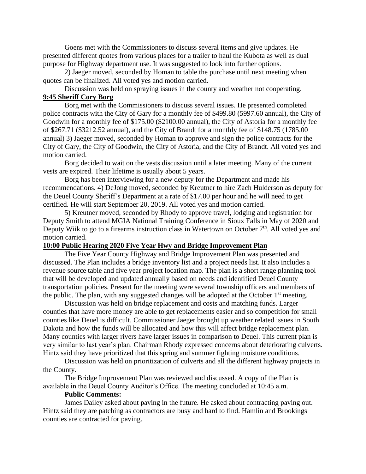Goens met with the Commissioners to discuss several items and give updates. He presented different quotes from various places for a trailer to haul the Kubota as well as dual purpose for Highway department use. It was suggested to look into further options.

2) Jaeger moved, seconded by Homan to table the purchase until next meeting when quotes can be finalized. All voted yes and motion carried.

Discussion was held on spraying issues in the county and weather not cooperating. **9:45 Sheriff Cory Borg**

Borg met with the Commissioners to discuss several issues. He presented completed police contracts with the City of Gary for a monthly fee of \$499.80 (5997.60 annual), the City of Goodwin for a monthly fee of \$175.00 (\$2100.00 annual), the City of Astoria for a monthly fee of \$267.71 (\$3212.52 annual), and the City of Brandt for a monthly fee of \$148.75 (1785.00 annual) 3) Jaeger moved, seconded by Homan to approve and sign the police contracts for the City of Gary, the City of Goodwin, the City of Astoria, and the City of Brandt. All voted yes and motion carried.

Borg decided to wait on the vests discussion until a later meeting. Many of the current vests are expired. Their lifetime is usually about 5 years.

Borg has been interviewing for a new deputy for the Department and made his recommendations. 4) DeJong moved, seconded by Kreutner to hire Zach Hulderson as deputy for the Deuel County Sheriff's Department at a rate of \$17.00 per hour and he will need to get certified. He will start September 20, 2019. All voted yes and motion carried.

5) Kreutner moved, seconded by Rhody to approve travel, lodging and registration for Deputy Smith to attend MGIA National Training Conference in Sioux Falls in May of 2020 and Deputy Wiik to go to a firearms instruction class in Watertown on October  $7<sup>th</sup>$ . All voted yes and motion carried.

### **10:00 Public Hearing 2020 Five Year Hwy and Bridge Improvement Plan**

The Five Year County Highway and Bridge Improvement Plan was presented and discussed. The Plan includes a bridge inventory list and a project needs list. It also includes a revenue source table and five year project location map. The plan is a short range planning tool that will be developed and updated annually based on needs and identified Deuel County transportation policies. Present for the meeting were several township officers and members of the public. The plan, with any suggested changes will be adopted at the October  $1<sup>st</sup>$  meeting.

Discussion was held on bridge replacement and costs and matching funds. Larger counties that have more money are able to get replacements easier and so competition for small counties like Deuel is difficult. Commissioner Jaeger brought up weather related issues in South Dakota and how the funds will be allocated and how this will affect bridge replacement plan. Many counties with larger rivers have larger issues in comparison to Deuel. This current plan is very similar to last year's plan. Chairman Rhody expressed concerns about deteriorating culverts. Hintz said they have prioritized that this spring and summer fighting moisture conditions.

Discussion was held on prioritization of culverts and all the different highway projects in the County.

The Bridge Improvement Plan was reviewed and discussed. A copy of the Plan is available in the Deuel County Auditor's Office. The meeting concluded at 10:45 a.m.

### **Public Comments:**

James Dailey asked about paving in the future. He asked about contracting paving out. Hintz said they are patching as contractors are busy and hard to find. Hamlin and Brookings counties are contracted for paving.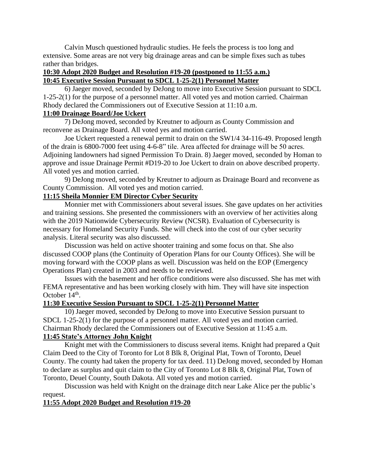Calvin Musch questioned hydraulic studies. He feels the process is too long and extensive. Some areas are not very big drainage areas and can be simple fixes such as tubes rather than bridges.

## **10:30 Adopt 2020 Budget and Resolution #19-20 (postponed to 11:55 a.m.) 10:45 Executive Session Pursuant to SDCL 1-25-2(1) Personnel Matter**

6) Jaeger moved, seconded by DeJong to move into Executive Session pursuant to SDCL 1-25-2(1) for the purpose of a personnel matter. All voted yes and motion carried. Chairman Rhody declared the Commissioners out of Executive Session at 11:10 a.m.

## **11:00 Drainage Board/Joe Uckert**

7) DeJong moved, seconded by Kreutner to adjourn as County Commission and reconvene as Drainage Board. All voted yes and motion carried.

Joe Uckert requested a renewal permit to drain on the SW1/4 34-116-49. Proposed length of the drain is 6800-7000 feet using 4-6-8" tile. Area affected for drainage will be 50 acres. Adjoining landowners had signed Permission To Drain. 8) Jaeger moved, seconded by Homan to approve and issue Drainage Permit #D19-20 to Joe Uckert to drain on above described property. All voted yes and motion carried.

9) DeJong moved, seconded by Kreutner to adjourn as Drainage Board and reconvene as County Commission. All voted yes and motion carried.

# **11:15 Sheila Monnier EM Director Cyber Security**

Monnier met with Commissioners about several issues. She gave updates on her activities and training sessions. She presented the commissioners with an overview of her activities along with the 2019 Nationwide Cybersecurity Review (NCSR). Evaluation of Cybersecurity is necessary for Homeland Security Funds. She will check into the cost of our cyber security analysis. Literal security was also discussed.

Discussion was held on active shooter training and some focus on that. She also discussed COOP plans (the Continuity of Operation Plans for our County Offices). She will be moving forward with the COOP plans as well. Discussion was held on the EOP (Emergency Operations Plan) created in 2003 and needs to be reviewed.

Issues with the basement and her office conditions were also discussed. She has met with FEMA representative and has been working closely with him. They will have site inspection October  $14<sup>th</sup>$ .

## **11:30 Executive Session Pursuant to SDCL 1-25-2(1) Personnel Matter**

10) Jaeger moved, seconded by DeJong to move into Executive Session pursuant to SDCL 1-25-2(1) for the purpose of a personnel matter. All voted yes and motion carried. Chairman Rhody declared the Commissioners out of Executive Session at 11:45 a.m.

# **11:45 State's Attorney John Knight**

Knight met with the Commissioners to discuss several items. Knight had prepared a Quit Claim Deed to the City of Toronto for Lot 8 Blk 8, Original Plat, Town of Toronto, Deuel County. The county had taken the property for tax deed. 11) DeJong moved, seconded by Homan to declare as surplus and quit claim to the City of Toronto Lot 8 Blk 8, Original Plat, Town of Toronto, Deuel County, South Dakota. All voted yes and motion carried.

Discussion was held with Knight on the drainage ditch near Lake Alice per the public's request.

## **11:55 Adopt 2020 Budget and Resolution #19-20**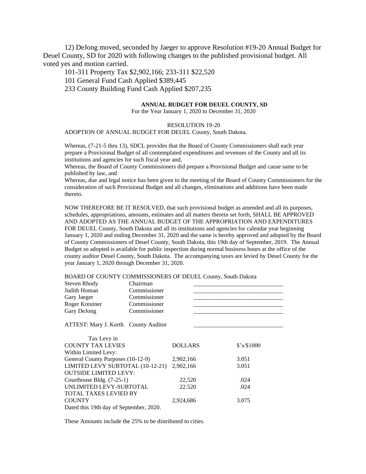12) DeJong moved, seconded by Jaeger to approve Resolution #19-20 Annual Budget for Deuel County, SD for 2020 with following changes to the published provisional budget. All voted yes and motion carried.

101-311 Property Tax \$2,902,166; 233-311 \$22,520

101 General Fund Cash Applied \$389,445

233 County Building Fund Cash Applied \$207,235

#### **ANNUAL BUDGET FOR DEUEL COUNTY, SD**

For the Year January 1, 2020 to December 31, 2020

#### RESOLUTION 19-20

#### ADOPTION OF ANNUAL BUDGET FOR DEUEL County, South Dakota.

Whereas, (7-21-5 thru 13), SDCL provides that the Board of County Commissioners shall each year prepare a Provisional Budget of all contemplated expenditures and revenues of the County and all its institutions and agencies for such fiscal year and,

Whereas, the Board of County Commissioners did prepare a Provisional Budget and cause same to be published by law, and

Whereas, due and legal notice has been given to the meeting of the Board of County Commissioners for the consideration of such Provisional Budget and all changes, eliminations and additions have been made thereto.

NOW THEREFORE BE IT RESOLVED, that such provisional budget as amended and all its purposes, schedules, appropriations, amounts, estimates and all matters therein set forth, SHALL BE APPROVED AND ADOPTED AS THE ANNUAL BUDGET OF THE APPROPRIATION AND EXPENDITURES FOR DEUEL County, South Dakota and all its institutions and agencies for calendar year beginning January 1, 2020 and ending December 31, 2020 and the same is hereby approved and adopted by the Board of County Commissioners of Deuel County, South Dakota, this 19th day of September, 2019. The Annual Budget so adopted is available for public inspection during normal business hours at the office of the county auditor Deuel County, South Dakota. The accompanying taxes are levied by Deuel County for the year January 1, 2020 through December 31, 2020.

#### BOARD OF COUNTY COMMISSIONERS OF DEUEL County, South Dakota

| <b>Steven Rhody</b>                     | Chairman     |                |             |
|-----------------------------------------|--------------|----------------|-------------|
| Judith Homan                            | Commissioner |                |             |
| Gary Jaeger                             | Commissioner |                |             |
| Roger Kreutner                          | Commissioner |                |             |
| Gary DeJong                             | Commissioner |                |             |
| ATTEST: Mary J. Korth County Auditor    |              |                |             |
| Tax Levy in                             |              |                |             |
| <b>COUNTY TAX LEVIES</b>                |              | <b>DOLLARS</b> | \$'s/\$1000 |
| Within Limited Levy:                    |              |                |             |
| General County Purposes (10-12-9)       |              | 2,902,166      | 3.051       |
| LIMITED LEVY SUBTOTAL (10-12-21)        |              | 2,902,166      | 3.051       |
| <b>OUTSIDE LIMITED LEVY:</b>            |              |                |             |
| Courthouse Bldg. (7-25-1)               |              | 22,520         | .024        |
| UNLIMITED LEVY-SUBTOTAL                 |              | 22.520         | .024        |
| TOTAL TAXES LEVIED BY                   |              |                |             |
| <b>COUNTY</b>                           |              | 2,924,686      | 3.075       |
| Dated this 19th day of September, 2020. |              |                |             |

These Amounts include the 25% to be distributed to cities.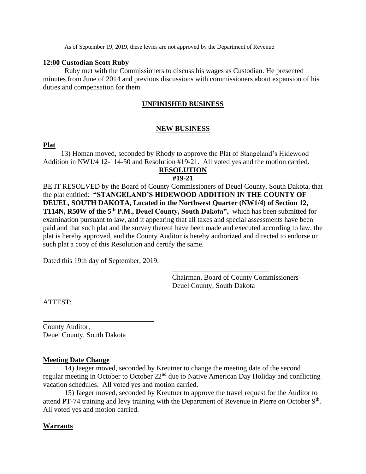As of September 19, 2019, these levies are not approved by the Department of Revenue

## **12:00 Custodian Scott Ruby**

Ruby met with the Commissioners to discuss his wages as Custodian. He presented minutes from June of 2014 and previous discussions with commissioners about expansion of his duties and compensation for them.

## **UNFINISHED BUSINESS**

## **NEW BUSINESS**

## **Plat**

 13) Homan moved, seconded by Rhody to approve the Plat of Stangeland's Hidewood Addition in NW1/4 12-114-50 and Resolution #19-21. All voted yes and the motion carried.

# **RESOLUTION**

## **#19-21**

BE IT RESOLVED by the Board of County Commissioners of Deuel County, South Dakota, that the plat entitled: **"STANGELAND'S HIDEWOOD ADDITION IN THE COUNTY OF DEUEL, SOUTH DAKOTA, Located in the Northwest Quarter (NW1/4) of Section 12, T114N, R50W of the 5th P.M., Deuel County, South Dakota",** which has been submitted for examination pursuant to law, and it appearing that all taxes and special assessments have been paid and that such plat and the survey thereof have been made and executed according to law, the plat is hereby approved, and the County Auditor is hereby authorized and directed to endorse on such plat a copy of this Resolution and certify the same.

Dated this 19th day of September, 2019.

\_\_\_\_\_\_\_\_\_\_\_\_\_\_\_\_\_\_\_\_\_\_\_\_\_\_\_\_\_\_\_

Chairman, Board of County Commissioners Deuel County, South Dakota

\_\_\_\_\_\_\_\_\_\_\_\_\_\_\_\_\_\_\_\_\_\_\_\_\_\_\_

ATTEST:

County Auditor, Deuel County, South Dakota

## **Meeting Date Change**

14) Jaeger moved, seconded by Kreutner to change the meeting date of the second regular meeting in October to October 22<sup>nd</sup> due to Native American Day Holiday and conflicting vacation schedules. All voted yes and motion carried.

15) Jaeger moved, seconded by Kreutner to approve the travel request for the Auditor to attend PT-74 training and levy training with the Department of Revenue in Pierre on October 9<sup>th</sup>. All voted yes and motion carried.

## **Warrants**